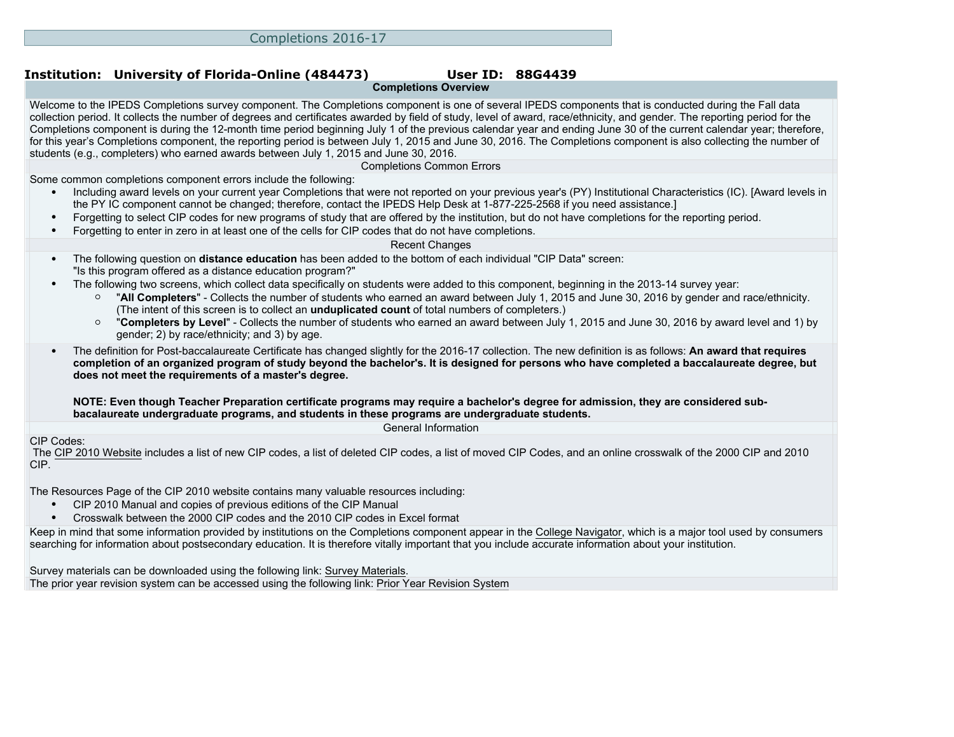## **Institution: University of Florida-Online (484473) User ID: 88G4439**

#### **Completions Overview**

Welcome to the IPEDS Completions survey component. The Completions component is one of several IPEDS components that is conducted during the Fall data collection period. It collects the number of degrees and certificates awarded by field of study, level of award, race/ethnicity, and gender. The reporting period for the Completions component is during the 12-month time period beginning July 1 of the previous calendar year and ending June 30 of the current calendar year; therefore, for this year's Completions component, the reporting period is between July 1, 2015 and June 30, 2016. The Completions component is also collecting the number of students (e.g., completers) who earned awards between July 1, 2015 and June 30, 2016.

Completions Common Errors

Some common completions component errors include the following:

- Including award levels on your current year Completions that were not reported on your previous year's (PY) Institutional Characteristics (IC). [Award levels in the PY IC component cannot be changed; therefore, contact the IPEDS Help Desk at 1-877-225-2568 if you need assistance.]
- Forgetting to select CIP codes for new programs of study that are offered by the institution, but do not have completions for the reporting period.
- Forgetting to enter in zero in at least one of the cells for CIP codes that do not have completions.

#### Recent Changes

- The following question on **distance education** has been added to the bottom of each individual "CIP Data" screen: "Is this program offered as a distance education program?"
- The following two screens, which collect data specifically on students were added to this component, beginning in the 2013-14 survey year:
	- "**All Completers**" Collects the number of students who earned an award between July 1, 2015 and June 30, 2016 by gender and race/ethnicity. (The intent of this screen is to collect an **unduplicated count** of total numbers of completers.)
	- "**Completers by Level**" Collects the number of students who earned an award between July 1, 2015 and June 30, 2016 by award level and 1) by gender; 2) by race/ethnicity; and 3) by age.
- The definition for Post-baccalaureate Certificate has changed slightly for the 2016-17 collection. The new definition is as follows: **An award that requires completion of an organized program of study beyond the bachelor's. It is designed for persons who have completed a baccalaureate degree, but does not meet the requirements of a master's degree.**

**NOTE: Even though Teacher Preparation certificate programs may require a bachelor's degree for admission, they are considered subbacalaureate undergraduate programs, and students in these programs are undergraduate students.**

General Information

#### CIP Codes:

 The [CIP 2010 Website](http://nces.ed.gov/ipeds/cipcode) includes a list of new CIP codes, a list of deleted CIP codes, a list of moved CIP Codes, and an online crosswalk of the 2000 CIP and 2010 CIP.

The [Resources Page](http://nces.ed.gov/ipeds/cipcode/resources.aspx?y=55) of the CIP 2010 website contains many valuable resources including:

- CIP 2010 Manual and copies of previous editions of the CIP Manual
- Crosswalk between the 2000 CIP codes and the 2010 CIP codes in Excel format

Keep in mind that some information provided by institutions on the Completions component appear in the [College Navigator](http://collegenavigator.ed.gov), which is a major tool used by consumers searching for information about postsecondary education. It is therefore vitally important that you include accurate information about your institution.

Survey materials can be downloaded using the following link: [Survey Materials.](https://surveys.nces.ed.gov/ipeds/VisIndex.aspx) The prior year revision system can be accessed using the following link: [Prior Year Revision System](http://192.168.102.89/IPEDS/PriorYearDataRedirect.aspx?survey_id=10)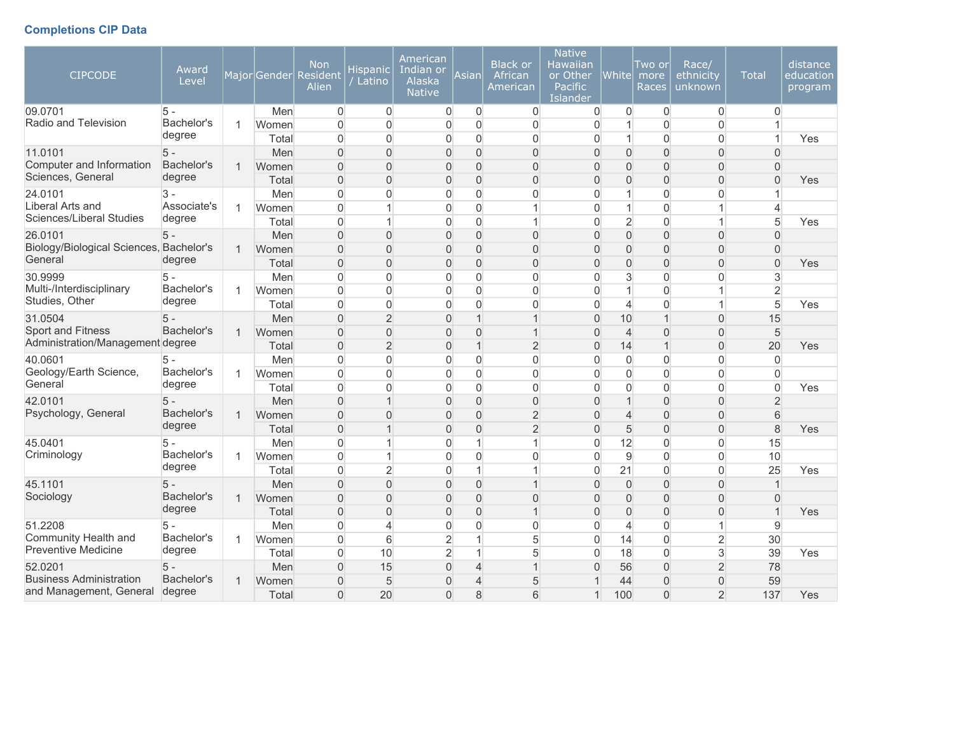# **Completions CIP Data**

| <b>CIPCODE</b>                          | Award<br>Level |                |       | Non<br>Major Gender Resident<br>Alien | Hispanic<br>Latino | American<br>Indian or<br>Alaska<br><b>Native</b> | Asianl         | <b>Black or</b><br>African<br>American | <b>Native</b><br>Hawaiian<br>or Other<br><b>Pacific</b><br><b>Islander</b> | White          | Two or<br>more<br>Races | Race<br>ethnicity<br>unknown | <b>Total</b>   | distance<br>education<br>program |
|-----------------------------------------|----------------|----------------|-------|---------------------------------------|--------------------|--------------------------------------------------|----------------|----------------------------------------|----------------------------------------------------------------------------|----------------|-------------------------|------------------------------|----------------|----------------------------------|
| 09.0701                                 | $5 -$          |                | Men   | $\overline{0}$                        | $\overline{0}$     | $\overline{0}$                                   | $\Omega$       | $\Omega$                               | $\mathbf{0}$                                                               | 0              | 0                       | $\Omega$                     | $\Omega$       |                                  |
| Radio and Television                    | Bachelor's     | -1             | Women | $\overline{0}$                        | $\overline{0}$     | $\mathbf 0$                                      | $\Omega$       | $\overline{0}$                         | $\overline{0}$                                                             | 1              | $\overline{0}$          | 0                            | 1              |                                  |
|                                         | degree         |                | Total | $\Omega$                              | $\overline{0}$     | $\overline{0}$                                   | $\overline{0}$ | $\overline{0}$                         | $\mathbf 0$                                                                | $\mathbf{1}$   | 0                       | $\overline{0}$               | $\mathbf{1}$   | Yes                              |
| 11.0101                                 | $5 -$          |                | Men   | $\Omega$                              | $\Omega$           | $\overline{0}$                                   | $\Omega$       | $\Omega$                               | $\mathbf{0}$                                                               | $\mathbf{0}$   | $\Omega$                | $\Omega$                     | $\Omega$       |                                  |
| Computer and Information                | Bachelor's     | $\mathbf{1}$   | Women | $\Omega$                              | $\overline{0}$     | $\overline{0}$                                   | $\Omega$       | $\overline{0}$                         | $\mathbf{0}$                                                               | $\overline{0}$ | $\overline{0}$          | $\overline{0}$               | $\mathbf{0}$   |                                  |
| Sciences, General                       | degree         |                | Total | $\overline{0}$                        | $\overline{0}$     | $\overline{0}$                                   | $\Omega$       | $\overline{0}$                         | $\overline{0}$                                                             | $\overline{0}$ | $\overline{0}$          | $\overline{0}$               | $\overline{0}$ | Yes                              |
| 24.0101                                 | 3 -            |                | Men   | $\overline{0}$                        | $\mathbf 0$        | $\mathbf 0$                                      | $\overline{0}$ | 0                                      | $\mathbf 0$                                                                | 1              | 0                       | 0                            | 1              |                                  |
| Liberal Arts and                        | Associate's    | $\mathbf 1$    | Women | $\Omega$                              | 1                  | $\overline{0}$                                   | $\Omega$       | 1                                      | $\mathbf{0}$                                                               | 1              | $\overline{0}$          | $\mathbf{1}$                 | $\overline{4}$ |                                  |
| Sciences/Liberal Studies                | degree         |                | Total | $\Omega$                              | 1                  | $\overline{0}$                                   | $\Omega$       | 1                                      | $\mathbf 0$                                                                | $\overline{2}$ | $\overline{0}$          | 1                            | 5              | Yes                              |
| 26.0101                                 | 5 -            |                | Men   | $\overline{0}$                        | $\overline{0}$     | $\mathbf 0$                                      | $\Omega$       | $\overline{0}$                         | $\mathbf{0}$                                                               | $\overline{0}$ | $\Omega$                | $\overline{0}$               | $\Omega$       |                                  |
| Biology/Biological Sciences, Bachelor's |                | $\mathbf 1$    | Women | $\overline{0}$                        | $\overline{0}$     | $\overline{0}$                                   | $\overline{0}$ | $\overline{0}$                         | $\overline{0}$                                                             | $\overline{0}$ | $\overline{0}$          | $\overline{0}$               | $\overline{0}$ |                                  |
| General                                 | degree         |                | Total | $\Omega$                              | $\overline{0}$     | $\overline{0}$                                   | $\Omega$       | $\overline{0}$                         | $\mathbf{0}$                                                               | $\overline{0}$ | $\Omega$                | $\overline{0}$               | $\Omega$       | Yes                              |
| 30.9999                                 | $5 -$          |                | Men   | $\overline{0}$                        | $\overline{0}$     | $\mathbf 0$                                      | $\Omega$       | $\overline{0}$                         | $\overline{0}$                                                             | 3              | $\overline{0}$          | $\overline{0}$               | 3              |                                  |
| Multi-/Interdisciplinary                | Bachelor's     | -1             | Women | $\overline{0}$                        | $\mathbf 0$        | $\mathbf 0$                                      | $\overline{0}$ | $\overline{0}$                         | $\mathbf 0$                                                                | $\mathbf{1}$   | $\mathbf 0$             | $\mathbf{1}$                 | $\overline{2}$ |                                  |
| Studies, Other                          | degree         |                | Total | $\overline{0}$                        | $\mathbf 0$        | $\mathbf 0$                                      | $\mathbf 0$    | $\overline{0}$                         | $\mathbf 0$                                                                | 4              | 0                       | $\mathbf{1}$                 | 5              | Yes                              |
| 31.0504                                 | $5 -$          |                | Men   | $\Omega$                              | $\overline{2}$     | $\overline{0}$                                   | $\mathbf 1$    | 1                                      | $\mathbf{0}$                                                               | 10             | $\overline{1}$          | $\overline{0}$               | 15             |                                  |
| Sport and Fitness                       | Bachelor's     | $\mathbf 1$    | Women | $\Omega$                              | $\overline{0}$     | $\overline{0}$                                   | $\Omega$       | 1                                      | $\mathbf{0}$                                                               | $\overline{4}$ | $\Omega$                | $\overline{0}$               | 5              |                                  |
| Administration/Management degree        |                |                | Total | $\overline{0}$                        | $\overline{2}$     | $\mathbf 0$                                      | 1              | $\overline{2}$                         | $\mathbf 0$                                                                | 14             | 1                       | $\overline{0}$               | 20             | Yes                              |
| 40.0601                                 | 5 -            |                | Men   | $\overline{0}$                        | $\overline{0}$     | $\overline{0}$                                   | $\Omega$       | $\overline{0}$                         | $\mathbf 0$                                                                | $\mathbf 0$    | 0                       | $\overline{0}$               | $\overline{0}$ |                                  |
| Geology/Earth Science,                  | Bachelor's     | $\overline{1}$ | Women | $\overline{0}$                        | $\overline{0}$     | $\overline{0}$                                   | $\Omega$       | $\overline{0}$                         | $\Omega$                                                                   | $\mathbf{0}$   | $\overline{0}$          | $\Omega$                     | $\Omega$       |                                  |
| General                                 | degree         |                | Total | $\overline{0}$                        | $\overline{0}$     | $\overline{0}$                                   | $\Omega$       | $\overline{0}$                         | $\overline{0}$                                                             | $\overline{0}$ | $\overline{0}$          | $\overline{0}$               | $\overline{0}$ | Yes                              |
| 42.0101                                 | $5 -$          |                | Men   | $\mathbf 0$                           | $\mathbf{1}$       | $\mathbf 0$                                      | $\overline{0}$ | $\mathbf 0$                            | $\overline{0}$                                                             | $\mathbf{1}$   | $\overline{0}$          | $\mathbf 0$                  | $\overline{2}$ |                                  |
| Psychology, General                     | Bachelor's     | $\mathbf{1}$   | Women | $\overline{0}$                        | $\overline{0}$     | $\mathbf 0$                                      | $\Omega$       | $\overline{2}$                         | $\overline{0}$                                                             | 4              | $\overline{0}$          | $\overline{0}$               | $\,$ 6 $\,$    |                                  |
|                                         | degree         |                | Total | $\Omega$                              | $\mathbf 1$        | $\overline{0}$                                   | $\Omega$       | $\overline{2}$                         | $\overline{0}$                                                             | 5              | $\overline{0}$          | $\overline{0}$               | 8              | Yes                              |
| 45.0401                                 | 5 -            |                | Men   | $\Omega$                              | 1                  | 0                                                | 1              | 1                                      | $\mathbf{0}$                                                               | 12             | 0                       | $\overline{0}$               | 15             |                                  |
| Criminology                             | Bachelor's     | 1              | Women | $\overline{0}$                        | 1                  | $\mathbf 0$                                      | $\Omega$       | O                                      | $\mathbf 0$                                                                | 9              | $\overline{0}$          | $\overline{0}$               | 10             |                                  |
|                                         | degree         |                | Total | $\overline{0}$                        | $\overline{2}$     | $\mathbf 0$                                      | $\mathbf 1$    | 1                                      | $\overline{0}$                                                             | 21             | $\mathbf 0$             | $\overline{0}$               | 25             | Yes                              |
| 45.1101                                 | $5 -$          |                | Men   | $\Omega$                              | $\overline{0}$     | $\overline{0}$                                   | $\Omega$       |                                        | $\overline{0}$                                                             | $\overline{0}$ | $\overline{0}$          | $\overline{0}$               | $\mathbf{1}$   |                                  |
| Sociology                               | Bachelor's     | $\mathbf 1$    | Women | $\overline{0}$                        | $\overline{0}$     | $\overline{0}$                                   | $\Omega$       | $\overline{0}$                         | $\overline{0}$                                                             | $\overline{0}$ | $\overline{0}$          | $\overline{0}$               | $\overline{0}$ |                                  |
|                                         | degree         |                | Total | $\mathbf 0$                           | $\overline{0}$     | $\mathbf 0$                                      | $\overline{0}$ | 1                                      | $\mathbf 0$                                                                | $\mathbf 0$    | $\overline{0}$          | $\overline{0}$               | $\mathbf{1}$   | Yes                              |
| 51.2208                                 | $5 -$          |                | Men   | $\overline{0}$                        | $\overline{4}$     | $\mathbf 0$                                      | $\Omega$       | 0                                      | $\mathbf 0$                                                                | 4              | 0                       | $\mathbf{1}$                 | 9              |                                  |
| Community Health and                    | Bachelor's     | -1             | Women | $\overline{0}$                        | 6                  | $\overline{2}$                                   |                | 5                                      | $\overline{0}$                                                             | 14             | $\overline{0}$          | $\overline{2}$               | 30             |                                  |
| Preventive Medicine                     | degree         |                | Total | $\Omega$                              | 10                 | $\overline{2}$                                   | 1              | 5                                      | $\mathbf{0}$                                                               | 18             | $\overline{0}$          | 3                            | 39             | Yes                              |
| 52.0201                                 | $5 -$          |                | Men   | $\Omega$                              | 15                 | $\overline{0}$                                   | 4              | 1                                      | $\mathbf{0}$                                                               | 56             | $\overline{0}$          | $\overline{2}$               | 78             |                                  |
| <b>Business Administration</b>          | Bachelor's     | $\overline{1}$ | Women | $\Omega$                              | 5                  | $\overline{0}$                                   | 4              | 5                                      |                                                                            | 44             | $\overline{0}$          | $\boldsymbol{0}$             | 59             |                                  |
| and Management, General                 | degree         |                | Total | $\Omega$                              | 20                 | $\Omega$                                         | 8              | 6                                      |                                                                            | 100            | $\Omega$                | $\overline{2}$               | 137            | Yes                              |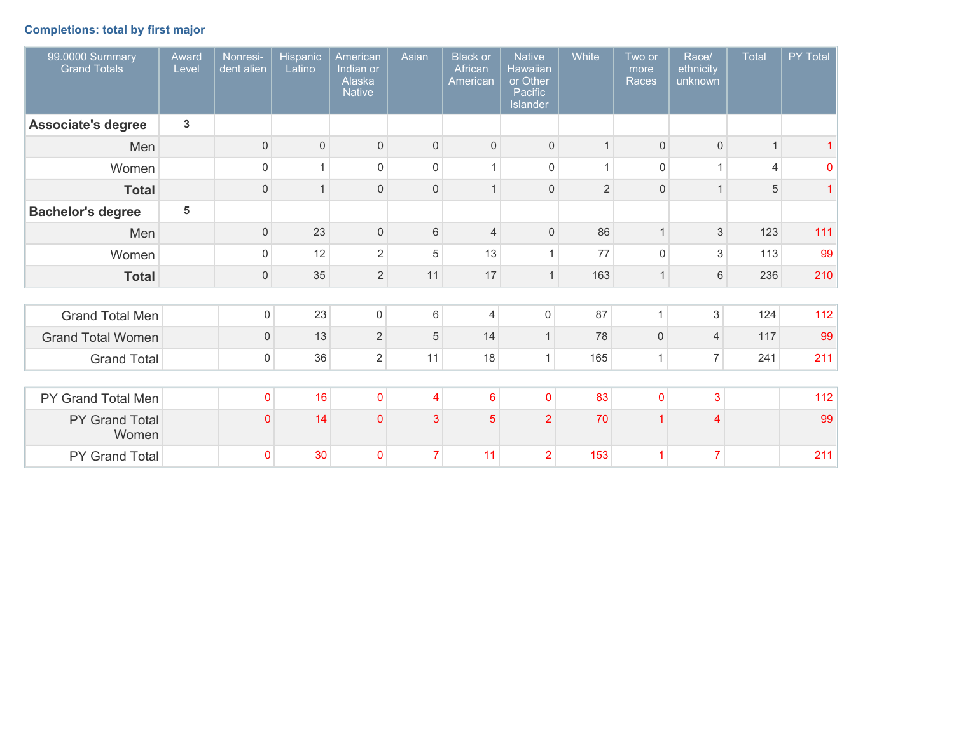# **Completions: total by first major**

| 99.0000 Summary<br><b>Grand Totals</b> | Award<br>Level | Nonresi-<br>dent alien | Hispanic<br>Latino | American<br>Indian or<br>Alaska<br><b>Native</b> | Asian          | <b>Black or</b><br>African<br>American | <b>Native</b><br>Hawaiian<br>or Other<br>Pacific<br>Islander | White          | Two or<br>more<br>Races | Race/<br>ethnicity<br>unknown | Total          | PY Total       |
|----------------------------------------|----------------|------------------------|--------------------|--------------------------------------------------|----------------|----------------------------------------|--------------------------------------------------------------|----------------|-------------------------|-------------------------------|----------------|----------------|
| <b>Associate's degree</b>              | 3              |                        |                    |                                                  |                |                                        |                                                              |                |                         |                               |                |                |
| Men                                    |                | $\mathsf{O}\xspace$    | $\mathbf 0$        | $\mathbf 0$                                      | $\mathbf{0}$   | $\mathbf 0$                            | $\mathbf 0$                                                  | 1              | $\mathbf 0$             | $\mathbf 0$                   | $\mathbf{1}$   |                |
| Women                                  |                | $\mathsf{O}\xspace$    |                    | $\Omega$                                         | $\Omega$       |                                        | $\mathbf 0$                                                  | 1              | $\Omega$                | 1                             | $\overline{4}$ | $\overline{0}$ |
| <b>Total</b>                           |                | $\mathbf{0}$           | 1                  | $\mathbf{0}$                                     | $\mathbf{0}$   |                                        | $\mathbf 0$                                                  | $\overline{2}$ | $\mathbf{0}$            |                               | 5              |                |
| <b>Bachelor's degree</b>               | 5              |                        |                    |                                                  |                |                                        |                                                              |                |                         |                               |                |                |
| Men                                    |                | $\mathsf{O}\xspace$    | 23                 | $\mathbf 0$                                      | 6              | $\overline{4}$                         | $\mathbf 0$                                                  | 86             | $\overline{1}$          | 3                             | 123            | 111            |
| Women                                  |                | $\mathsf{O}\xspace$    | 12                 | $\overline{2}$                                   | 5              | 13                                     | $\mathbf{1}$                                                 | 77             | $\Omega$                | 3                             | 113            | 99             |
| <b>Total</b>                           |                | $\mathsf{O}\xspace$    | 35                 | $\overline{2}$                                   | 11             | 17                                     | $\mathbf{1}$                                                 | 163            | $\overline{1}$          | 6                             | 236            | 210            |
|                                        |                |                        |                    |                                                  |                |                                        |                                                              |                |                         |                               |                |                |
| <b>Grand Total Men</b>                 |                | $\mathsf{O}\xspace$    | 23                 | $\mathbf 0$                                      | 6              | $\overline{4}$                         | 0                                                            | 87             | $\mathbf{1}$            | 3                             | 124            | 112            |
| <b>Grand Total Women</b>               |                | $\mathbf{0}$           | 13                 | $\overline{2}$                                   | 5              | 14                                     | $\mathbf 1$                                                  | 78             | $\mathbf{0}$            | $\overline{4}$                | 117            | 99             |
| <b>Grand Total</b>                     |                | $\mathsf{O}\xspace$    | 36                 | $\sqrt{2}$                                       | 11             | 18                                     | $\mathbf{1}$                                                 | 165            | $\mathbf{1}$            | 7                             | 241            | 211            |
|                                        |                |                        |                    |                                                  |                |                                        |                                                              |                |                         |                               |                |                |
| PY Grand Total Men                     |                | $\mathbf 0$            | 16                 | $\overline{0}$                                   | $\overline{4}$ | $6\phantom{a}$                         | $\pmb{0}$                                                    | 83             | $\overline{0}$          | 3                             |                | 112            |
| PY Grand Total<br>Women                |                | $\overline{0}$         | 14                 | $\overline{0}$                                   | 3              | 5                                      | $\overline{2}$                                               | 70             | 1                       | $\overline{4}$                |                | 99             |
| PY Grand Total                         |                | $\mathbf 0$            | 30                 | $\Omega$                                         | $\overline{7}$ | 11                                     | $\overline{2}$                                               | 153            | 1                       | $\overline{7}$                |                | 211            |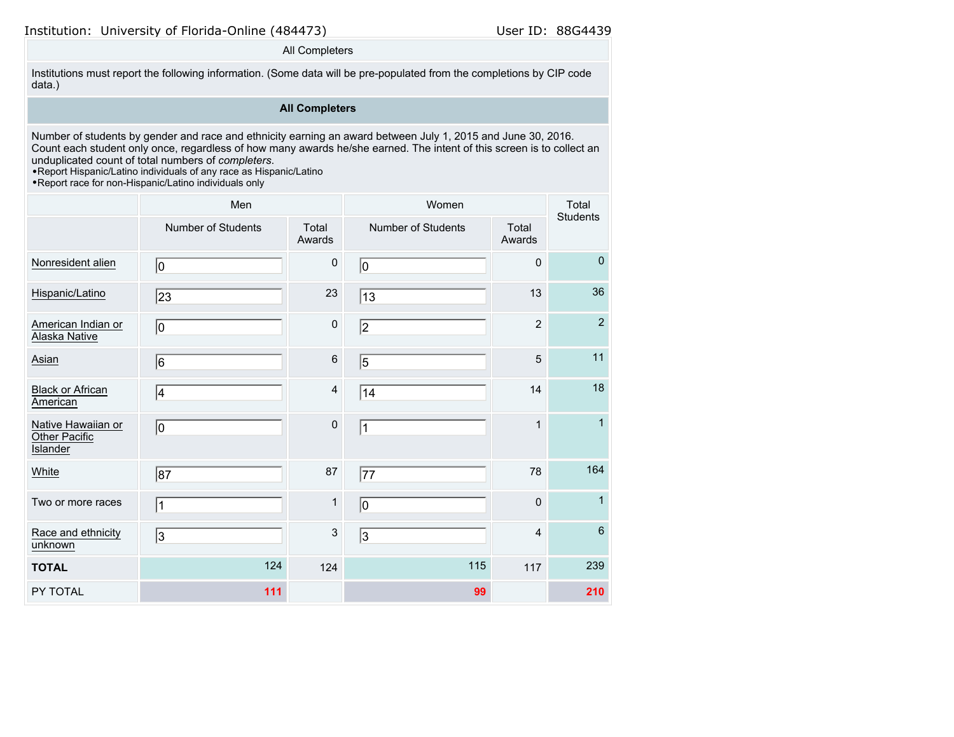Institution: University of Florida-Online (484473) User ID: 88G4439

#### All Completers

Institutions must report the following information. (Some data will be pre-populated from the completions by CIP code data.)

### **All Completers**

Number of students by gender and race and ethnicity earning an award between July 1, 2015 and June 30, 2016. Count each student only once, regardless of how many awards he/she earned. The intent of this screen is to collect an unduplicated count of total numbers of *completers*.

•Report Hispanic/Latino individuals of any race as Hispanic/Latino

•Report race for non-Hispanic/Latino individuals only

|                                                        | Men                |                 | Women                     | Total<br><b>Students</b> |                 |
|--------------------------------------------------------|--------------------|-----------------|---------------------------|--------------------------|-----------------|
|                                                        | Number of Students | Total<br>Awards | <b>Number of Students</b> | Total<br>Awards          |                 |
| Nonresident alien                                      | $ 0\rangle$        | $\pmb{0}$       | 10                        | $\mathbf 0$              | $\mathbf{0}$    |
| Hispanic/Latino                                        | 23                 | 23              | 13                        | 13                       | 36              |
| American Indian or<br>Alaska Native                    | 10                 | $\pmb{0}$       | 2                         | $\overline{2}$           | $\overline{2}$  |
| Asian                                                  | 6                  | $\,6\,$         | $\overline{5}$            | 5                        | 11              |
| <b>Black or African</b><br>American                    | 4                  | 4               | 14                        | 14                       | 18              |
| Native Hawaiian or<br>Other Pacific<br><b>Islander</b> | 0                  | $\pmb{0}$       | $\overline{1}$            | $\mathbf{1}$             | $\mathbf{1}$    |
| White                                                  | 87                 | 87              | 77                        | 78                       | 164             |
| Two or more races                                      | 1                  | $\mathbf{1}$    | 10                        | $\mathbf 0$              | $\mathbf{1}$    |
| Race and ethnicity<br>unknown                          | 3                  | 3               | $\overline{3}$            | $\overline{4}$           | $6\phantom{1}6$ |
| <b>TOTAL</b>                                           | 124                | 124             | 115                       | 117                      | 239             |
| PY TOTAL                                               | 111                |                 | 99                        |                          | 210             |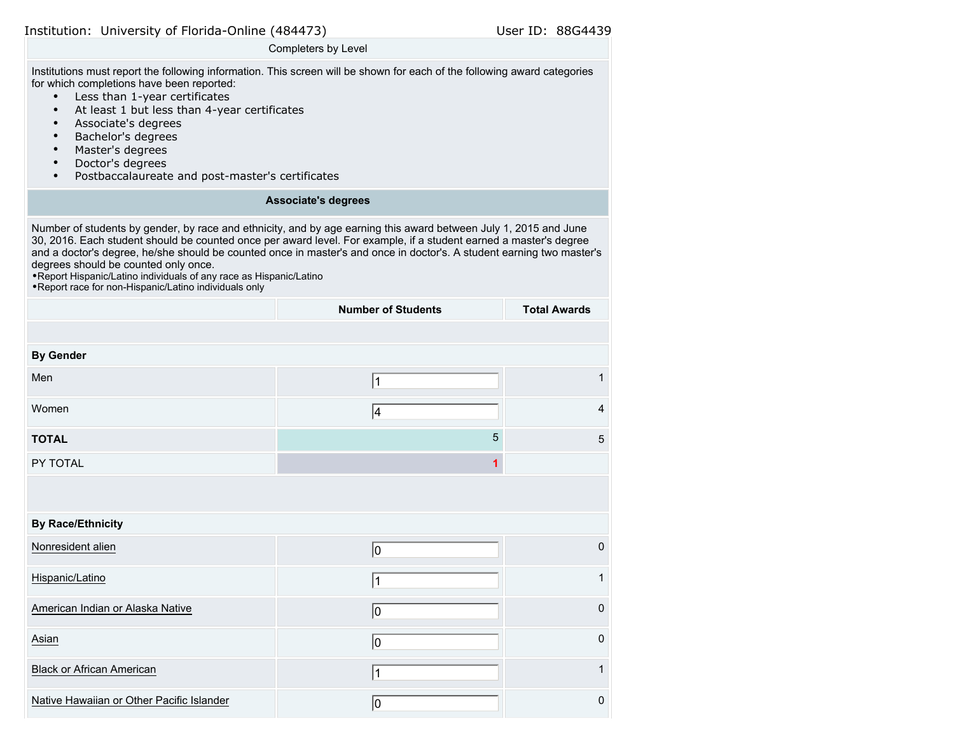|  |  | Institution: University of Florida-Online (484473) |  |  |
|--|--|----------------------------------------------------|--|--|
|--|--|----------------------------------------------------|--|--|

### Completers by Level

Institutions must report the following information. This screen will be shown for each of the following award categories for which completions have been reported:

- Less than 1-year certificates
- At least 1 but less than 4-year certificates
- Associate's degrees
- Bachelor's degrees
- Master's degrees
- Doctor's degrees
- Postbaccalaureate and post-master's certificates

### **Associate's degrees**

Number of students by gender, by race and ethnicity, and by age earning this award between July 1, 2015 and June 30, 2016. Each student should be counted once per award level. For example, if a student earned a master's degree and a doctor's degree, he/she should be counted once in master's and once in doctor's. A student earning two master's degrees should be counted only once.

•Report Hispanic/Latino individuals of any race as Hispanic/Latino

•Report race for non-Hispanic/Latino individuals only

|                                           | <b>Number of Students</b> | <b>Total Awards</b> |
|-------------------------------------------|---------------------------|---------------------|
|                                           |                           |                     |
| <b>By Gender</b>                          |                           |                     |
| Men                                       | 1                         | $\mathbf{1}$        |
| Women                                     | 4                         | $\overline{4}$      |
| <b>TOTAL</b>                              | 5                         | 5                   |
| PY TOTAL                                  | 1                         |                     |
|                                           |                           |                     |
| <b>By Race/Ethnicity</b>                  |                           |                     |
| Nonresident alien                         | 10                        | $\mathbf 0$         |
| Hispanic/Latino                           | 1                         | $\mathbf{1}$        |
| American Indian or Alaska Native          | 10                        | $\mathsf 0$         |
| Asian                                     | 10                        | $\pmb{0}$           |
| <b>Black or African American</b>          | 1                         | 1                   |
| Native Hawaiian or Other Pacific Islander | 10                        | $\pmb{0}$           |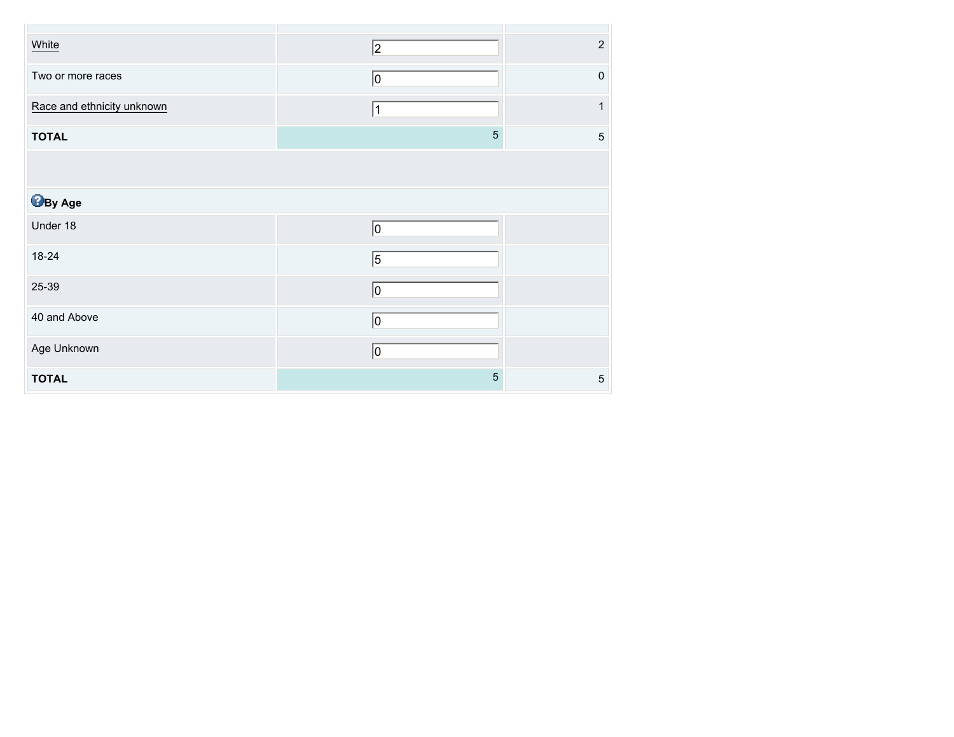| White                      | 2              | $\overline{2}$ |
|----------------------------|----------------|----------------|
| Two or more races          | $ 0\rangle$    | $\mathsf 0$    |
| Race and ethnicity unknown | 1              | 1              |
| <b>TOTAL</b>               | 5              | $\sqrt{5}$     |
|                            |                |                |
| <b>By Age</b>              |                |                |
| Under 18                   | 0              |                |
| 18-24                      | $\sqrt{5}$     |                |
| 25-39                      | 0              |                |
| 40 and Above               | $ 0\rangle$    |                |
| Age Unknown                | $ 0\rangle$    |                |
| <b>TOTAL</b>               | $\overline{5}$ | $\,$ 5 $\,$    |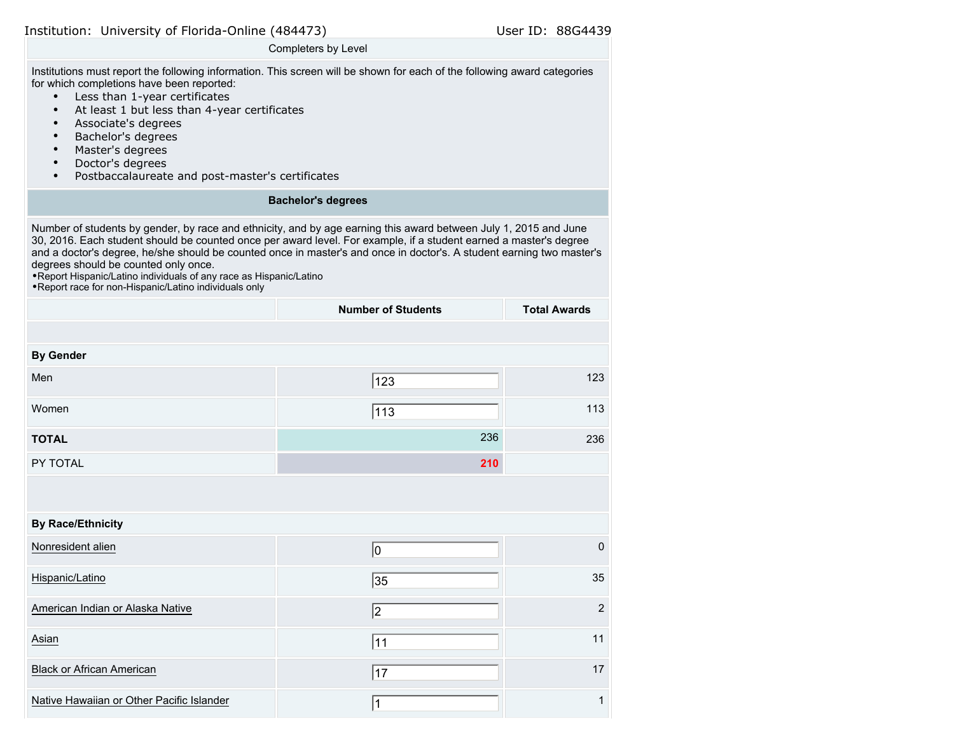|  |  | Institution: University of Florida-Online (484473) |  |  |
|--|--|----------------------------------------------------|--|--|
|--|--|----------------------------------------------------|--|--|

### Completers by Level

Institutions must report the following information. This screen will be shown for each of the following award categories for which completions have been reported:

- Less than 1-year certificates
- At least 1 but less than 4-year certificates
- Associate's degrees
- Bachelor's degrees
- Master's degrees
- Doctor's degrees
- Postbaccalaureate and post-master's certificates

### **Bachelor's degrees**

Number of students by gender, by race and ethnicity, and by age earning this award between July 1, 2015 and June 30, 2016. Each student should be counted once per award level. For example, if a student earned a master's degree and a doctor's degree, he/she should be counted once in master's and once in doctor's. A student earning two master's degrees should be counted only once.

•Report Hispanic/Latino individuals of any race as Hispanic/Latino

•Report race for non-Hispanic/Latino individuals only

|                                           | <b>Number of Students</b> | <b>Total Awards</b> |
|-------------------------------------------|---------------------------|---------------------|
|                                           |                           |                     |
| <b>By Gender</b>                          |                           |                     |
| Men                                       | 123                       | 123                 |
| Women                                     | 113                       | 113                 |
| <b>TOTAL</b>                              | 236                       | 236                 |
| PY TOTAL                                  | 210                       |                     |
|                                           |                           |                     |
| <b>By Race/Ethnicity</b>                  |                           |                     |
| Nonresident alien                         | 10                        | $\pmb{0}$           |
| Hispanic/Latino                           | 35                        | 35                  |
| American Indian or Alaska Native          | 2                         | $\overline{2}$      |
| Asian                                     | 11                        | 11                  |
| <b>Black or African American</b>          | 17                        | 17                  |
| Native Hawaiian or Other Pacific Islander | 1                         | $\mathbf{1}$        |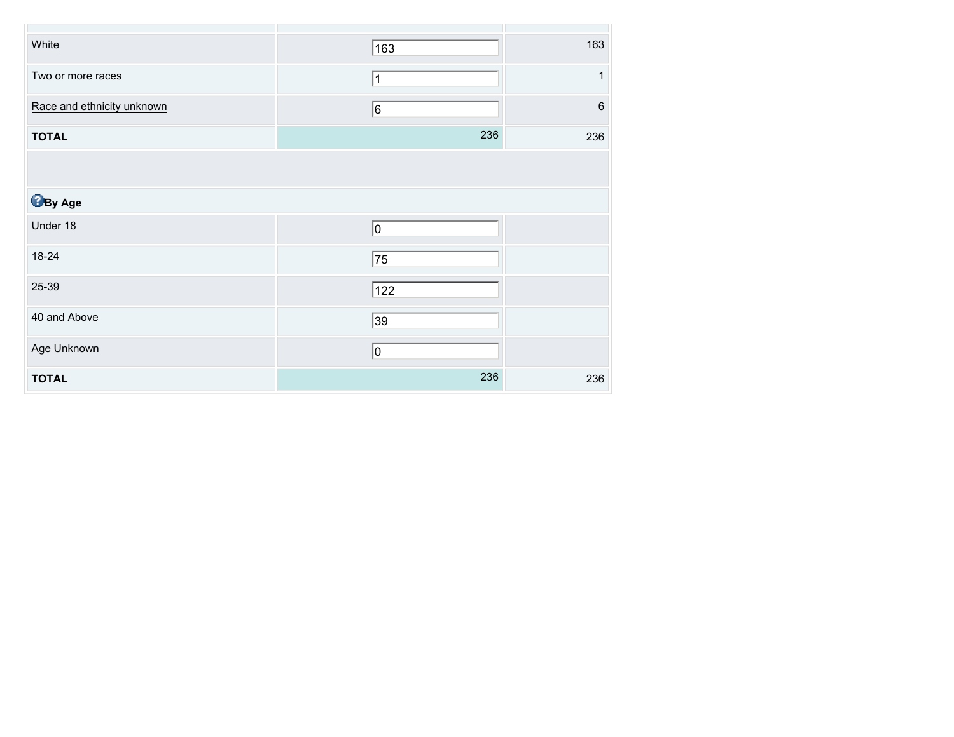| White                      | $ 163\rangle$   | 163     |
|----------------------------|-----------------|---------|
| Two or more races          | $\vert$ 1       | 1       |
| Race and ethnicity unknown | 6               | $\,6\,$ |
| <b>TOTAL</b>               | 236             | 236     |
|                            |                 |         |
| <b>B</b> By Age            |                 |         |
| Under 18                   | 0               |         |
| 18-24                      | $\overline{75}$ |         |
| 25-39                      | $ 122\rangle$   |         |
| 40 and Above               | $\overline{39}$ |         |
| Age Unknown                | 0               |         |
| <b>TOTAL</b>               | 236             | 236     |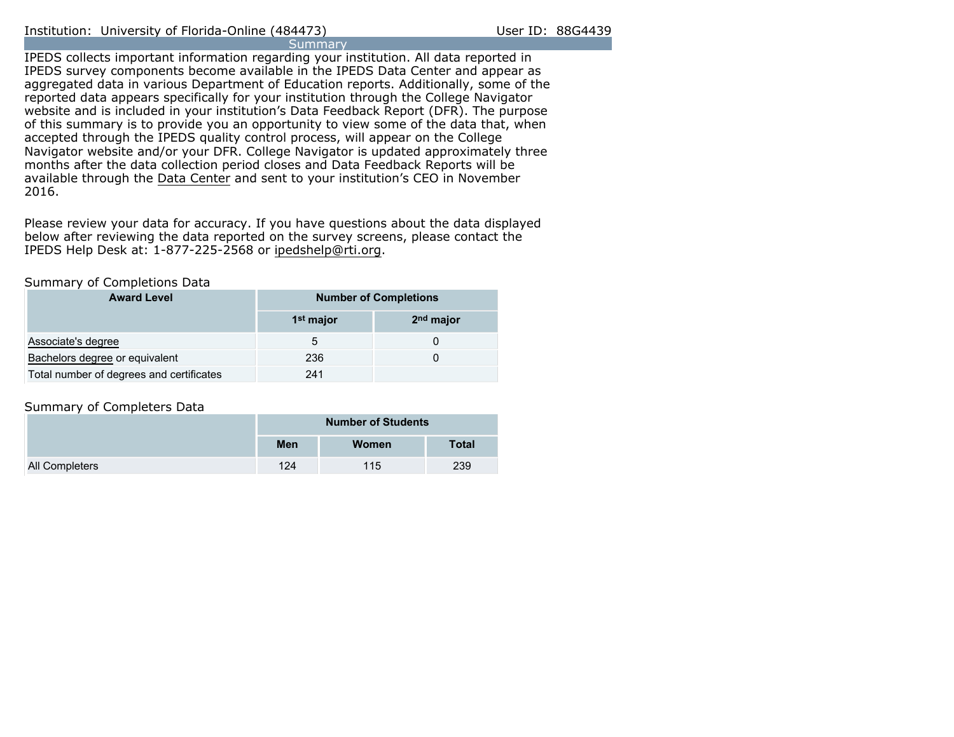IPEDS collects important information regarding your institution. All data reported in IPEDS survey components become available in the IPEDS Data Center and appear as aggregated data in various Department of Education reports. Additionally, some of the reported data appears specifically for your institution through the College Navigator website and is included in your institution's Data Feedback Report (DFR). The purpose of this summary is to provide you an opportunity to view some of the data that, when accepted through the IPEDS quality control process, will appear on the College Navigator website and/or your DFR. College Navigator is updated approximately three months after the data collection period closes and Data Feedback Reports will be available through the [Data Center](http://nces.ed.gov/ipeds/datacenter/) and sent to your institution's CEO in November 2016.

Please review your data for accuracy. If you have questions about the data displayed below after reviewing the data reported on the survey screens, please contact the IPEDS Help Desk at: 1-877-225-2568 or ipedshelp@rti.org.

#### Summary of Completions Data

| <b>Award Level</b>                       | <b>Number of Completions</b> |                       |  |  |
|------------------------------------------|------------------------------|-----------------------|--|--|
|                                          | 1 <sup>st</sup> major        | 2 <sup>nd</sup> major |  |  |
| Associate's degree                       | 5                            |                       |  |  |
| Bachelors degree or equivalent           | 236                          |                       |  |  |
| Total number of degrees and certificates | 241                          |                       |  |  |

### Summary of Completers Data

|                       |     | <b>Number of Students</b> |              |
|-----------------------|-----|---------------------------|--------------|
|                       | Men | Women                     | <b>Total</b> |
| <b>All Completers</b> | 124 | 115                       | 239          |